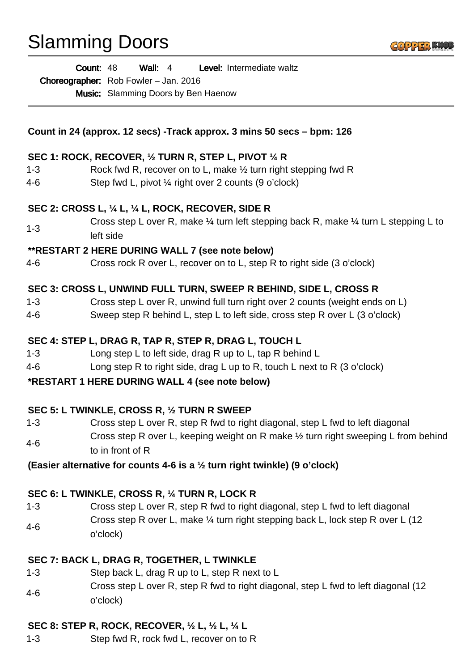# Slamming Doors

Wall: 4 Level: Intermediate waltz Count: 48

Choreographer: Rob Fowler - Jan. 2016

Music: Slamming Doors by Ben Haenow

**Count in 24 (approx. 12 secs) -Track approx. 3 mins 50 secs – bpm: 126**

## **SEC 1: ROCK, RECOVER, ½ TURN R, STEP L, PIVOT ¼ R**

- 1-3 Rock fwd R, recover on to L, make ½ turn right stepping fwd R
- 4-6 Step fwd L, pivot ¼ right over 2 counts (9 o'clock)

## **SEC 2: CROSS L, ¼ L, ¼ L, ROCK, RECOVER, SIDE R**

1-3 Cross step L over R, make  $\frac{1}{4}$  turn left stepping back R, make  $\frac{1}{4}$  turn L stepping L to left side

## **\*\*RESTART 2 HERE DURING WALL 7 (see note below)**

4-6 Cross rock R over L, recover on to L, step R to right side (3 o'clock)

# **SEC 3: CROSS L, UNWIND FULL TURN, SWEEP R BEHIND, SIDE L, CROSS R**

- 1-3 Cross step L over R, unwind full turn right over 2 counts (weight ends on L)
- 4-6 Sweep step R behind L, step L to left side, cross step R over L (3 o'clock)

## **SEC 4: STEP L, DRAG R, TAP R, STEP R, DRAG L, TOUCH L**

- 1-3 Long step L to left side, drag R up to L, tap R behind L
- 4-6 Long step R to right side, drag L up to R, touch L next to R (3 o'clock)

#### **\*RESTART 1 HERE DURING WALL 4 (see note below)**

#### **SEC 5: L TWINKLE, CROSS R, ½ TURN R SWEEP**

1-3 Cross step L over R, step R fwd to right diagonal, step L fwd to left diagonal 4-6 Cross step R over L, keeping weight on R make ½ turn right sweeping L from behind to in front of R

#### **(Easier alternative for counts 4-6 is a ½ turn right twinkle) (9 o'clock)**

# **SEC 6: L TWINKLE, CROSS R, ¼ TURN R, LOCK R**

1-3 Cross step L over R, step R fwd to right diagonal, step L fwd to left diagonal 4-6 Cross step R over L, make ¼ turn right stepping back L, lock step R over L (12 o'clock)

# **SEC 7: BACK L, DRAG R, TOGETHER, L TWINKLE**

- 1-3 Step back L, drag R up to L, step R next to L
- 4-6 Cross step L over R, step R fwd to right diagonal, step L fwd to left diagonal (12 o'clock)

# **SEC 8: STEP R, ROCK, RECOVER, ½ L, ½ L, ¼ L**

1-3 Step fwd R, rock fwd L, recover on to R